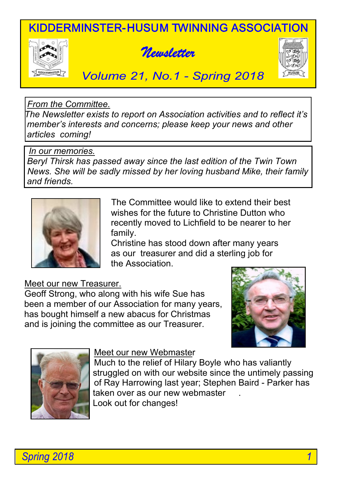KIDDERMINSTER-HUSUM TWINNING ASSOCIATION







# *Volume 21, No.1 - Spring 2018*

### *From the Committee.*

 *The Newsletter exists to report on Association activities and to reflect it's member's interests and concerns; please keep your news and other articles coming!*

#### *In our memories.*

 *Beryl Thirsk has passed away since the last edition of the Twin Town News. She will be sadly missed by her loving husband Mike, their family and friends.*



The Committee would like to extend their best wishes for the future to Christine Dutton who recently moved to Lichfield to be nearer to her family.

 Christine has stood down after many years as our treasurer and did a sterling job for the Association.

### Meet our new Treasurer.

 Geoff Strong, who along with his wife Sue has been a member of our Association for many years, has bought himself a new abacus for Christmas and is joining the committee as our Treasurer.





#### Meet our new Webmaster

 Much to the relief of Hilary Boyle who has valiantly struggled on with our website since the untimely passing of Ray Harrowing last year; Stephen Baird - Parker has taken over as our new webmaster Look out for changes!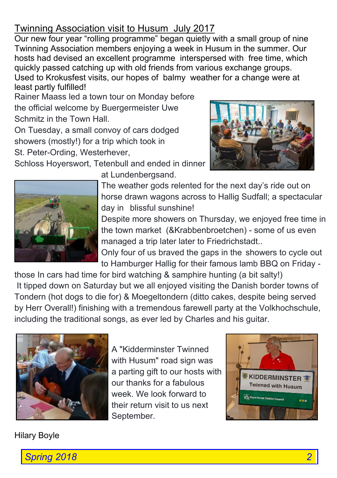# Twinning Association visit to Husum July 2017

Our new four year "rolling programme" began quietly with a small group of nine Twinning Association members enjoying a week in Husum in the summer. Our hosts had devised an excellent programme interspersed with free time, which quickly passed catching up with old friends from various exchange groups. Used to Krokusfest visits, our hopes of balmy weather for a change were at least partly fulfilled!

Rainer Maass led a town tour on Monday before the official welcome by Buergermeister Uwe Schmitz in the Town Hall.

On Tuesday, a small convoy of cars dodged showers (mostly!) for a trip which took in

St. Peter-Ording, Westerhever,

Schloss Hoyerswort, Tetenbull and ended in dinner





at Lundenbergsand.

The weather gods relented for the next day's ride out on horse drawn wagons across to Hallig Sudfall; a spectacular day in blissful sunshine!

Despite more showers on Thursday, we enjoyed free time in the town market (&Krabbenbroetchen) - some of us even managed a trip later later to Friedrichstadt..

Only four of us braved the gaps in the showers to cycle out to Hamburger Hallig for their famous lamb BBQ on Friday -

 those In cars had time for bird watching & samphire hunting (a bit salty!) It tipped down on Saturday but we all enjoyed visiting the Danish border towns of Tondern (hot dogs to die for) & Moegeltondern (ditto cakes, despite being served by Herr Overall!) finishing with a tremendous farewell party at the Volkhochschule, including the traditional songs, as ever led by Charles and his guitar.



A "Kidderminster Twinned with Husum" road sign was a parting gift to our hosts with our thanks for a fabulous week. We look forward to their return visit to us next September.



### Hilary Boyle

*Spring 2018 2*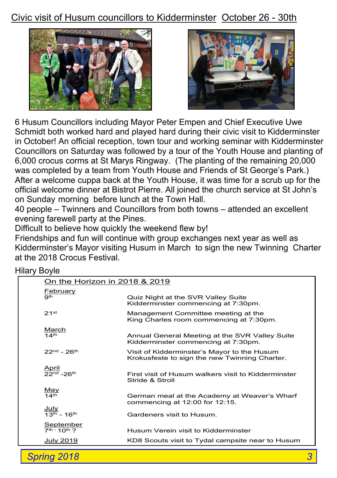# Civic visit of Husum councillors to Kidderminster October 26 - 30th





6 Husum Councillors including Mayor Peter Empen and Chief Executive Uwe Schmidt both worked hard and played hard during their civic visit to Kidderminster in October! An official reception, town tour and working seminar with Kidderminster Councillors on Saturday was followed by a tour of the Youth House and planting of 6,000 crocus corms at St Marys Ringway. (The planting of the remaining 20,000 was completed by a team from Youth House and Friends of St George's Park.) After a welcome cuppa back at the Youth House, it was time for a scrub up for the official welcome dinner at Bistrot Pierre. All joined the church service at St John's on Sunday morning before lunch at the Town Hall.

 40 people – Twinners and Councillors from both towns – attended an excellent evening farewell party at the Pines.

Difficult to believe how quickly the weekend flew by!

 Friendships and fun will continue with group exchanges next year as well as Kidderminster's Mayor visiting Husum in March to sign the new Twinning Charter at the 2018 Crocus Festival.

| ilial y Duyie |                                             |                                                                                              |
|---------------|---------------------------------------------|----------------------------------------------------------------------------------------------|
|               | On the Horizon in 2018 & 2019               |                                                                                              |
|               | <u>February</u><br>9 <sub>th</sub>          | Quiz Night at the SVR Valley Suite<br>Kidderminster commencing at 7:30pm.                    |
|               | 21 <sup>st</sup>                            | Management Committee meeting at the<br>King Charles room commencing at 7:30pm.               |
|               | <u>March</u><br>14 <sup>th</sup>            | Annual General Meeting at the SVR Valley Suite<br>Kidderminster commencing at 7:30pm.        |
|               | $22nd - 26th$                               | Visit of Kidderminster's Mayor to the Husum<br>Krokusfeste to sign the new Twinning Charter. |
|               | April<br>22 <sup>nd</sup> -26 <sup>th</sup> | First visit of Husum walkers visit to Kidderminster<br>Stride & Stroll                       |
|               | <u>May</u><br>14th                          | German meal at the Academy at Weaver's Wharf<br>commencing at $12:00$ for $12:15$ .          |
|               | <u>July</u><br>$13^{th}$ - 16 <sup>th</sup> | Gardeners visit to Husum.                                                                    |
|               | <u>September</u><br>7th - 10th ?            | Husum Verein visit to Kidderminster                                                          |
|               | July 2019                                   | KD8 Scouts visit to Tydal campsite near to Husum                                             |
|               |                                             |                                                                                              |

## Hilary Boyle

**Spring 2018**